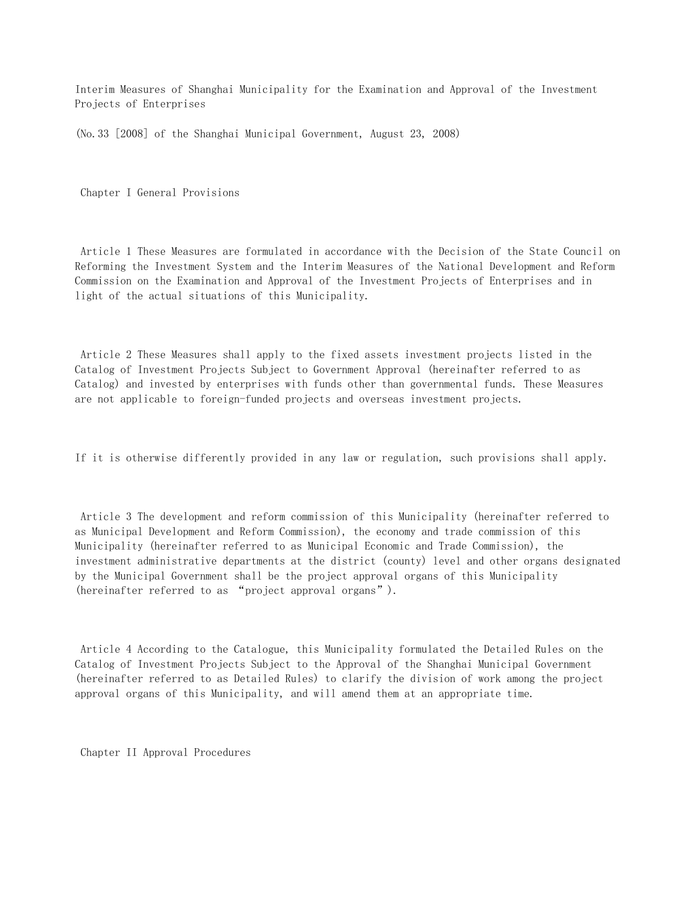Interim Measures of Shanghai Municipality for the Examination and Approval of the Investment Projects of Enterprises

(No.33 [2008] of the Shanghai Municipal Government, August 23, 2008)

Chapter I General Provisions

 Article 1 These Measures are formulated in accordance with the Decision of the State Council on Reforming the Investment System and the Interim Measures of the National Development and Reform Commission on the Examination and Approval of the Investment Projects of Enterprises and in light of the actual situations of this Municipality.

 Article 2 These Measures shall apply to the fixed assets investment projects listed in the Catalog of Investment Projects Subject to Government Approval (hereinafter referred to as Catalog) and invested by enterprises with funds other than governmental funds. These Measures are not applicable to foreign-funded projects and overseas investment projects.

If it is otherwise differently provided in any law or regulation, such provisions shall apply.

 Article 3 The development and reform commission of this Municipality (hereinafter referred to as Municipal Development and Reform Commission), the economy and trade commission of this Municipality (hereinafter referred to as Municipal Economic and Trade Commission), the investment administrative departments at the district (county) level and other organs designated by the Municipal Government shall be the project approval organs of this Municipality (hereinafter referred to as "project approval organs").

 Article 4 According to the Catalogue, this Municipality formulated the Detailed Rules on the Catalog of Investment Projects Subject to the Approval of the Shanghai Municipal Government (hereinafter referred to as Detailed Rules) to clarify the division of work among the project approval organs of this Municipality, and will amend them at an appropriate time.

Chapter II Approval Procedures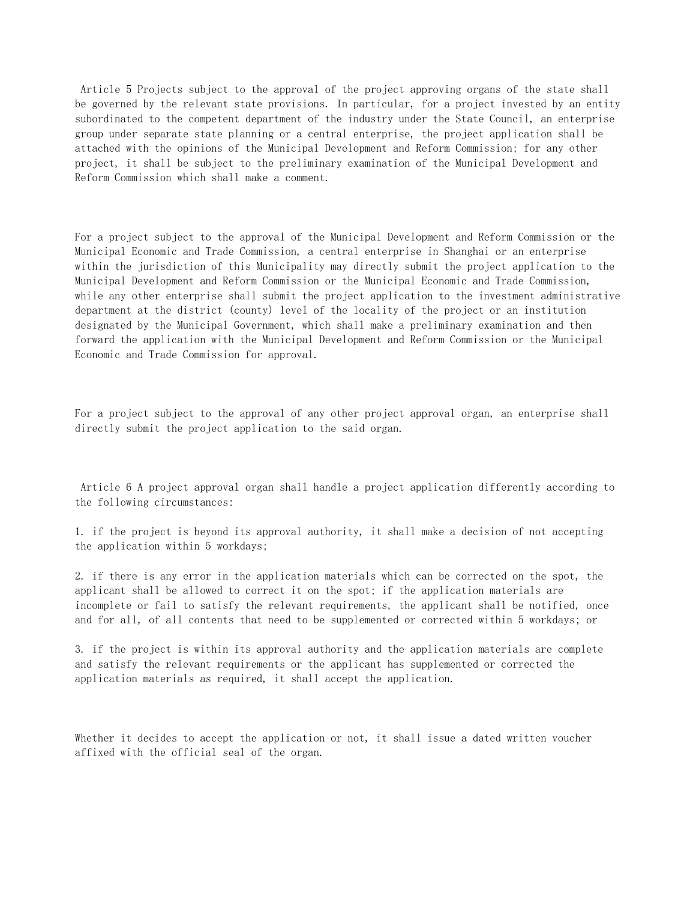Article 5 Projects subject to the approval of the project approving organs of the state shall be governed by the relevant state provisions. In particular, for a project invested by an entity subordinated to the competent department of the industry under the State Council, an enterprise group under separate state planning or a central enterprise, the project application shall be attached with the opinions of the Municipal Development and Reform Commission; for any other project, it shall be subject to the preliminary examination of the Municipal Development and Reform Commission which shall make a comment.

For a project subject to the approval of the Municipal Development and Reform Commission or the Municipal Economic and Trade Commission, a central enterprise in Shanghai or an enterprise within the jurisdiction of this Municipality may directly submit the project application to the Municipal Development and Reform Commission or the Municipal Economic and Trade Commission, while any other enterprise shall submit the project application to the investment administrative department at the district (county) level of the locality of the project or an institution designated by the Municipal Government, which shall make a preliminary examination and then forward the application with the Municipal Development and Reform Commission or the Municipal Economic and Trade Commission for approval.

For a project subject to the approval of any other project approval organ, an enterprise shall directly submit the project application to the said organ.

 Article 6 A project approval organ shall handle a project application differently according to the following circumstances:

1. if the project is beyond its approval authority, it shall make a decision of not accepting the application within 5 workdays;

2. if there is any error in the application materials which can be corrected on the spot, the applicant shall be allowed to correct it on the spot; if the application materials are incomplete or fail to satisfy the relevant requirements, the applicant shall be notified, once and for all, of all contents that need to be supplemented or corrected within 5 workdays; or

3. if the project is within its approval authority and the application materials are complete and satisfy the relevant requirements or the applicant has supplemented or corrected the application materials as required, it shall accept the application.

Whether it decides to accept the application or not, it shall issue a dated written voucher affixed with the official seal of the organ.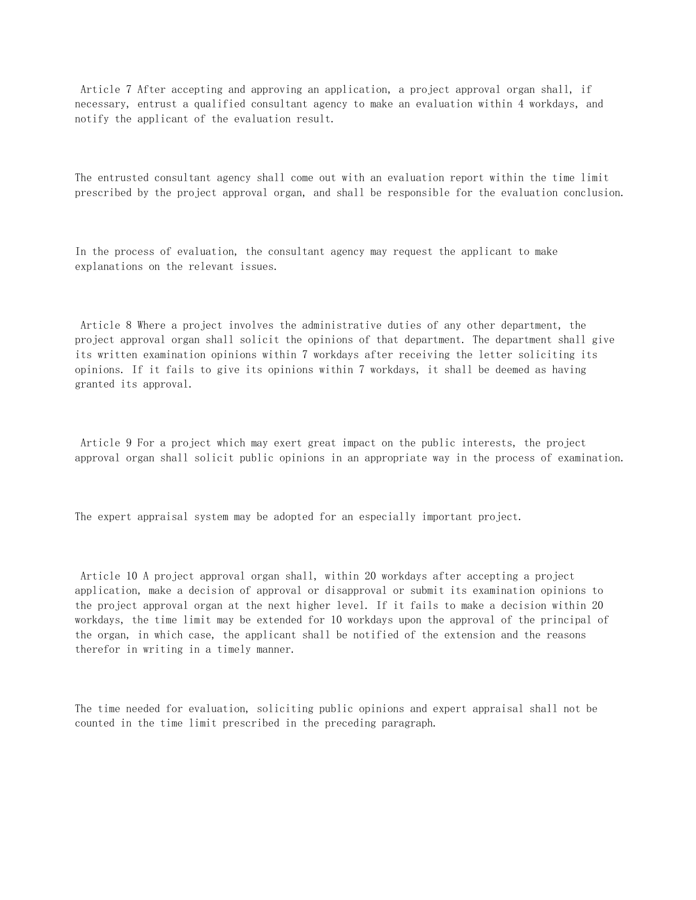Article 7 After accepting and approving an application, a project approval organ shall, if necessary, entrust a qualified consultant agency to make an evaluation within 4 workdays, and notify the applicant of the evaluation result.

The entrusted consultant agency shall come out with an evaluation report within the time limit prescribed by the project approval organ, and shall be responsible for the evaluation conclusion.

In the process of evaluation, the consultant agency may request the applicant to make explanations on the relevant issues.

 Article 8 Where a project involves the administrative duties of any other department, the project approval organ shall solicit the opinions of that department. The department shall give its written examination opinions within 7 workdays after receiving the letter soliciting its opinions. If it fails to give its opinions within 7 workdays, it shall be deemed as having granted its approval.

 Article 9 For a project which may exert great impact on the public interests, the project approval organ shall solicit public opinions in an appropriate way in the process of examination.

The expert appraisal system may be adopted for an especially important project.

 Article 10 A project approval organ shall, within 20 workdays after accepting a project application, make a decision of approval or disapproval or submit its examination opinions to the project approval organ at the next higher level. If it fails to make a decision within 20 workdays, the time limit may be extended for 10 workdays upon the approval of the principal of the organ, in which case, the applicant shall be notified of the extension and the reasons therefor in writing in a timely manner.

The time needed for evaluation, soliciting public opinions and expert appraisal shall not be counted in the time limit prescribed in the preceding paragraph.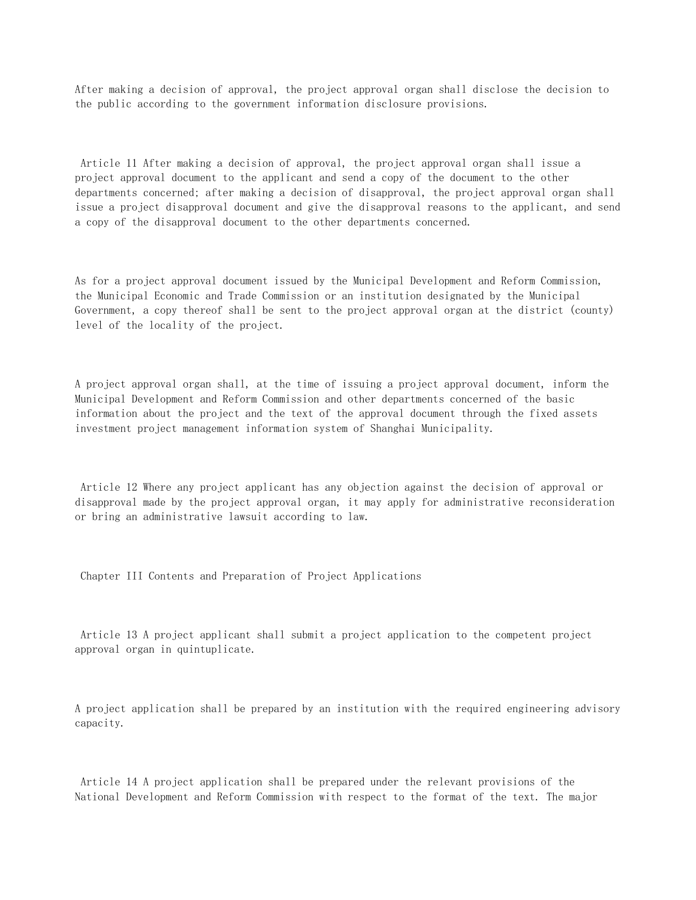After making a decision of approval, the project approval organ shall disclose the decision to the public according to the government information disclosure provisions.

 Article 11 After making a decision of approval, the project approval organ shall issue a project approval document to the applicant and send a copy of the document to the other departments concerned; after making a decision of disapproval, the project approval organ shall issue a project disapproval document and give the disapproval reasons to the applicant, and send a copy of the disapproval document to the other departments concerned.

As for a project approval document issued by the Municipal Development and Reform Commission, the Municipal Economic and Trade Commission or an institution designated by the Municipal Government, a copy thereof shall be sent to the project approval organ at the district (county) level of the locality of the project.

A project approval organ shall, at the time of issuing a project approval document, inform the Municipal Development and Reform Commission and other departments concerned of the basic information about the project and the text of the approval document through the fixed assets investment project management information system of Shanghai Municipality.

 Article 12 Where any project applicant has any objection against the decision of approval or disapproval made by the project approval organ, it may apply for administrative reconsideration or bring an administrative lawsuit according to law.

Chapter III Contents and Preparation of Project Applications

 Article 13 A project applicant shall submit a project application to the competent project approval organ in quintuplicate.

A project application shall be prepared by an institution with the required engineering advisory capacity.

 Article 14 A project application shall be prepared under the relevant provisions of the National Development and Reform Commission with respect to the format of the text. The major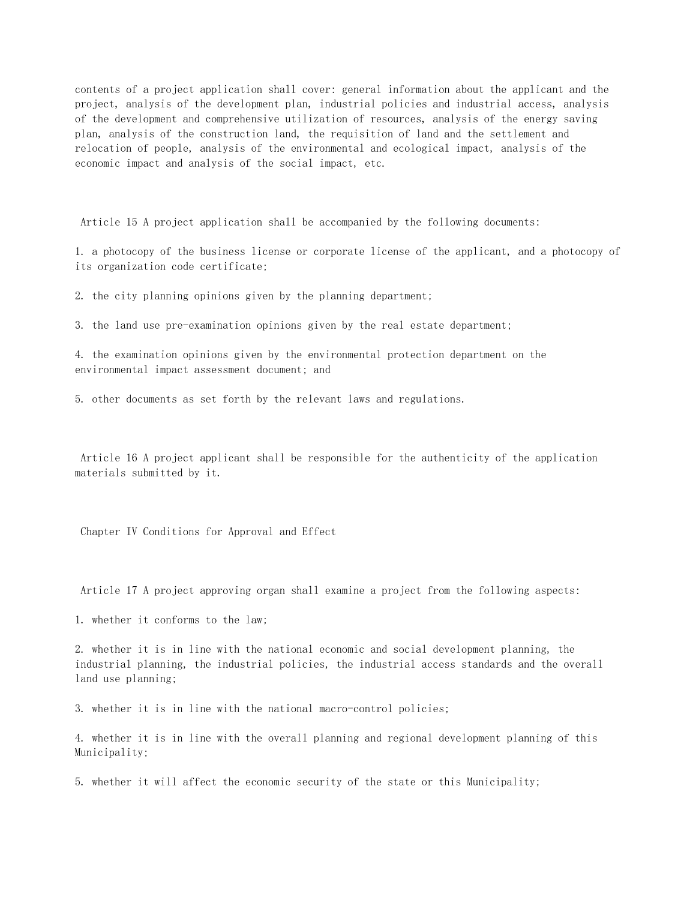contents of a project application shall cover: general information about the applicant and the project, analysis of the development plan, industrial policies and industrial access, analysis of the development and comprehensive utilization of resources, analysis of the energy saving plan, analysis of the construction land, the requisition of land and the settlement and relocation of people, analysis of the environmental and ecological impact, analysis of the economic impact and analysis of the social impact, etc.

Article 15 A project application shall be accompanied by the following documents:

1. a photocopy of the business license or corporate license of the applicant, and a photocopy of its organization code certificate;

2. the city planning opinions given by the planning department;

3. the land use pre-examination opinions given by the real estate department;

4. the examination opinions given by the environmental protection department on the environmental impact assessment document; and

5. other documents as set forth by the relevant laws and regulations.

 Article 16 A project applicant shall be responsible for the authenticity of the application materials submitted by it.

Chapter IV Conditions for Approval and Effect

Article 17 A project approving organ shall examine a project from the following aspects:

1. whether it conforms to the law;

2. whether it is in line with the national economic and social development planning, the industrial planning, the industrial policies, the industrial access standards and the overall land use planning;

3. whether it is in line with the national macro-control policies;

4. whether it is in line with the overall planning and regional development planning of this Municipality;

5. whether it will affect the economic security of the state or this Municipality;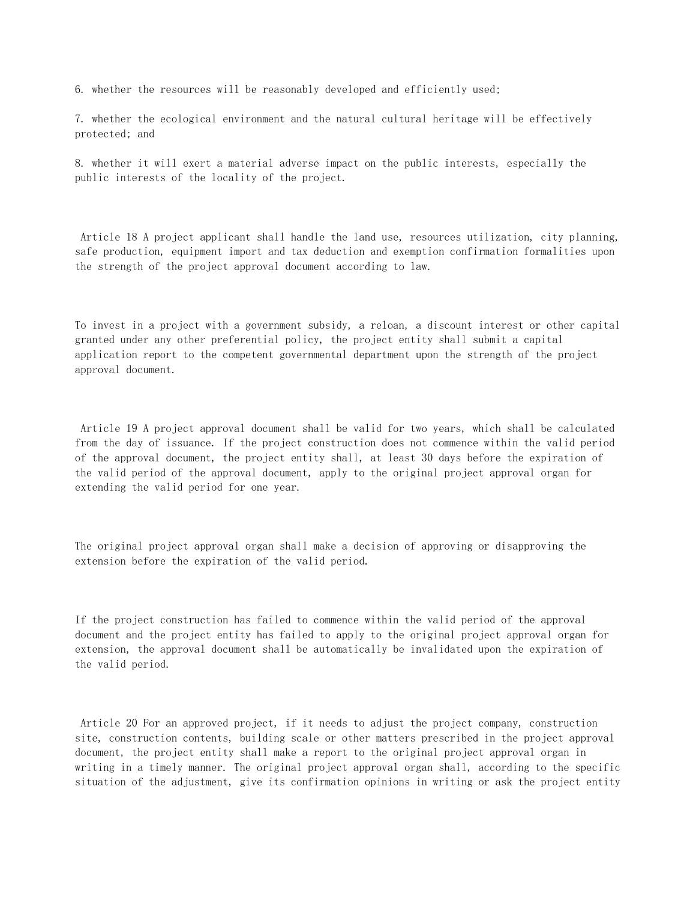6. whether the resources will be reasonably developed and efficiently used;

7. whether the ecological environment and the natural cultural heritage will be effectively protected; and

8. whether it will exert a material adverse impact on the public interests, especially the public interests of the locality of the project.

 Article 18 A project applicant shall handle the land use, resources utilization, city planning, safe production, equipment import and tax deduction and exemption confirmation formalities upon the strength of the project approval document according to law.

To invest in a project with a government subsidy, a reloan, a discount interest or other capital granted under any other preferential policy, the project entity shall submit a capital application report to the competent governmental department upon the strength of the project approval document.

 Article 19 A project approval document shall be valid for two years, which shall be calculated from the day of issuance. If the project construction does not commence within the valid period of the approval document, the project entity shall, at least 30 days before the expiration of the valid period of the approval document, apply to the original project approval organ for extending the valid period for one year.

The original project approval organ shall make a decision of approving or disapproving the extension before the expiration of the valid period.

If the project construction has failed to commence within the valid period of the approval document and the project entity has failed to apply to the original project approval organ for extension, the approval document shall be automatically be invalidated upon the expiration of the valid period.

 Article 20 For an approved project, if it needs to adjust the project company, construction site, construction contents, building scale or other matters prescribed in the project approval document, the project entity shall make a report to the original project approval organ in writing in a timely manner. The original project approval organ shall, according to the specific situation of the adjustment, give its confirmation opinions in writing or ask the project entity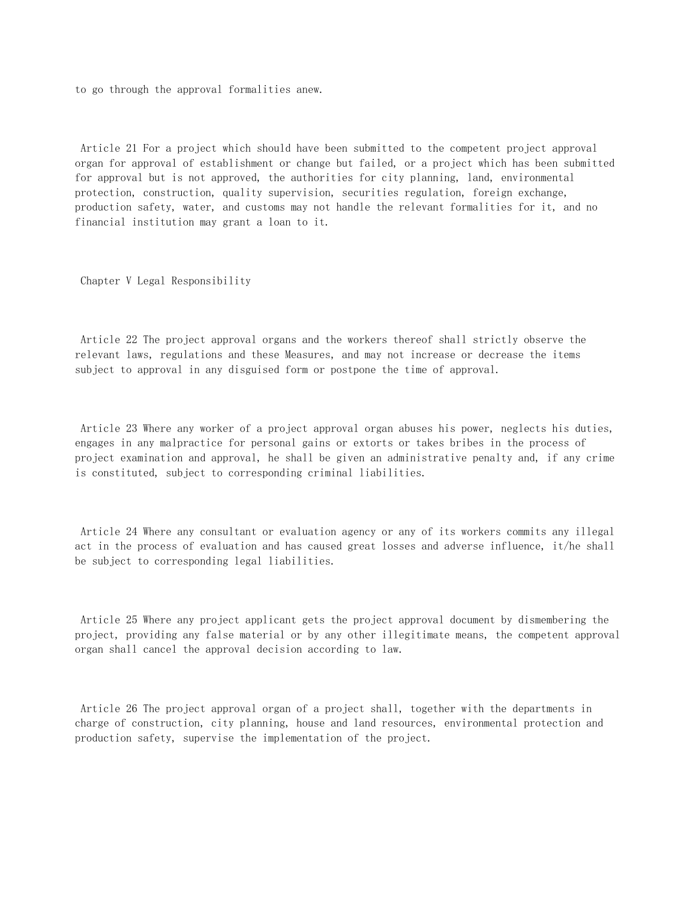to go through the approval formalities anew.

 Article 21 For a project which should have been submitted to the competent project approval organ for approval of establishment or change but failed, or a project which has been submitted for approval but is not approved, the authorities for city planning, land, environmental protection, construction, quality supervision, securities regulation, foreign exchange, production safety, water, and customs may not handle the relevant formalities for it, and no financial institution may grant a loan to it.

Chapter V Legal Responsibility

 Article 22 The project approval organs and the workers thereof shall strictly observe the relevant laws, regulations and these Measures, and may not increase or decrease the items subject to approval in any disguised form or postpone the time of approval.

 Article 23 Where any worker of a project approval organ abuses his power, neglects his duties, engages in any malpractice for personal gains or extorts or takes bribes in the process of project examination and approval, he shall be given an administrative penalty and, if any crime is constituted, subject to corresponding criminal liabilities.

 Article 24 Where any consultant or evaluation agency or any of its workers commits any illegal act in the process of evaluation and has caused great losses and adverse influence, it/he shall be subject to corresponding legal liabilities.

 Article 25 Where any project applicant gets the project approval document by dismembering the project, providing any false material or by any other illegitimate means, the competent approval organ shall cancel the approval decision according to law.

 Article 26 The project approval organ of a project shall, together with the departments in charge of construction, city planning, house and land resources, environmental protection and production safety, supervise the implementation of the project.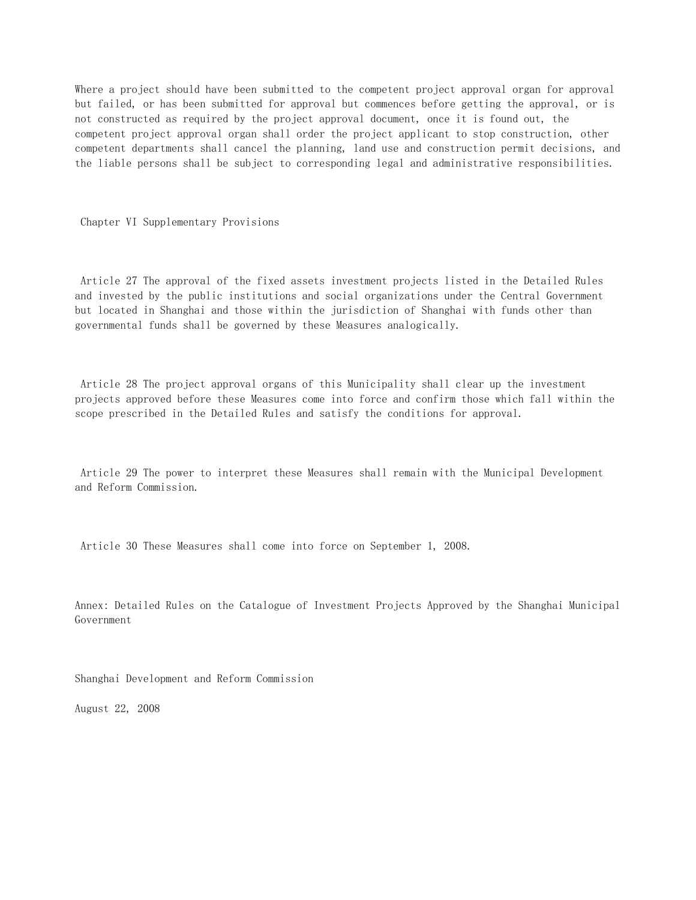Where a project should have been submitted to the competent project approval organ for approval but failed, or has been submitted for approval but commences before getting the approval, or is not constructed as required by the project approval document, once it is found out, the competent project approval organ shall order the project applicant to stop construction, other competent departments shall cancel the planning, land use and construction permit decisions, and the liable persons shall be subject to corresponding legal and administrative responsibilities.

Chapter VI Supplementary Provisions

 Article 27 The approval of the fixed assets investment projects listed in the Detailed Rules and invested by the public institutions and social organizations under the Central Government but located in Shanghai and those within the jurisdiction of Shanghai with funds other than governmental funds shall be governed by these Measures analogically.

 Article 28 The project approval organs of this Municipality shall clear up the investment projects approved before these Measures come into force and confirm those which fall within the scope prescribed in the Detailed Rules and satisfy the conditions for approval.

 Article 29 The power to interpret these Measures shall remain with the Municipal Development and Reform Commission.

Article 30 These Measures shall come into force on September 1, 2008.

Annex: Detailed Rules on the Catalogue of Investment Projects Approved by the Shanghai Municipal Government

Shanghai Development and Reform Commission

August 22, 2008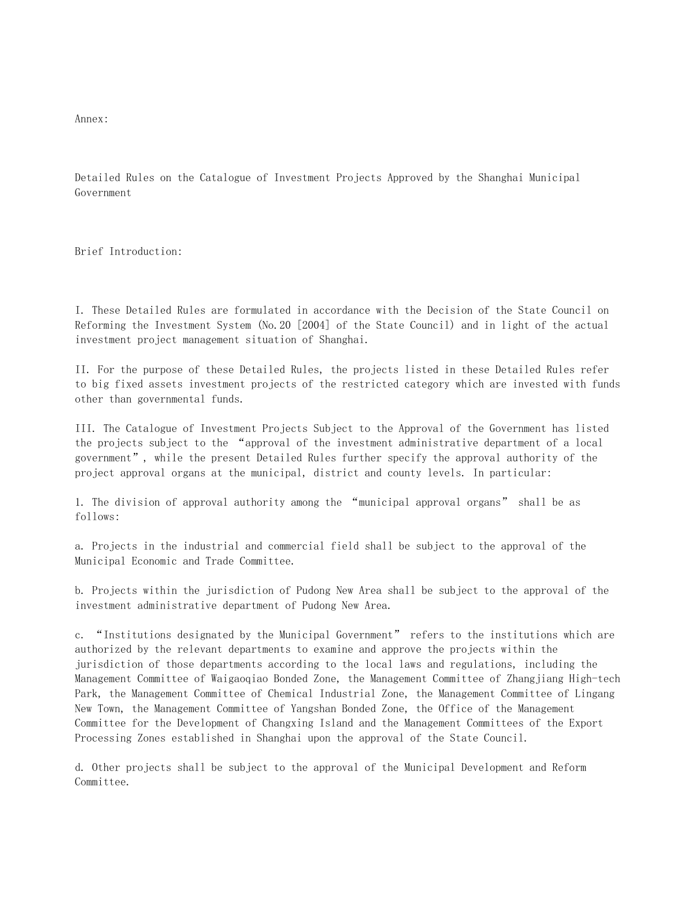Annex:

Detailed Rules on the Catalogue of Investment Projects Approved by the Shanghai Municipal Government

Brief Introduction:

I. These Detailed Rules are formulated in accordance with the Decision of the State Council on Reforming the Investment System (No.20 [2004] of the State Council) and in light of the actual investment project management situation of Shanghai.

II. For the purpose of these Detailed Rules, the projects listed in these Detailed Rules refer to big fixed assets investment projects of the restricted category which are invested with funds other than governmental funds.

III. The Catalogue of Investment Projects Subject to the Approval of the Government has listed the projects subject to the "approval of the investment administrative department of a local government", while the present Detailed Rules further specify the approval authority of the project approval organs at the municipal, district and county levels. In particular:

1. The division of approval authority among the "municipal approval organs" shall be as follows:

a. Projects in the industrial and commercial field shall be subject to the approval of the Municipal Economic and Trade Committee.

b. Projects within the jurisdiction of Pudong New Area shall be subject to the approval of the investment administrative department of Pudong New Area.

c. "Institutions designated by the Municipal Government" refers to the institutions which are authorized by the relevant departments to examine and approve the projects within the jurisdiction of those departments according to the local laws and regulations, including the Management Committee of Waigaoqiao Bonded Zone, the Management Committee of Zhangjiang High-tech Park, the Management Committee of Chemical Industrial Zone, the Management Committee of Lingang New Town, the Management Committee of Yangshan Bonded Zone, the Office of the Management Committee for the Development of Changxing Island and the Management Committees of the Export Processing Zones established in Shanghai upon the approval of the State Council.

d. Other projects shall be subject to the approval of the Municipal Development and Reform Committee.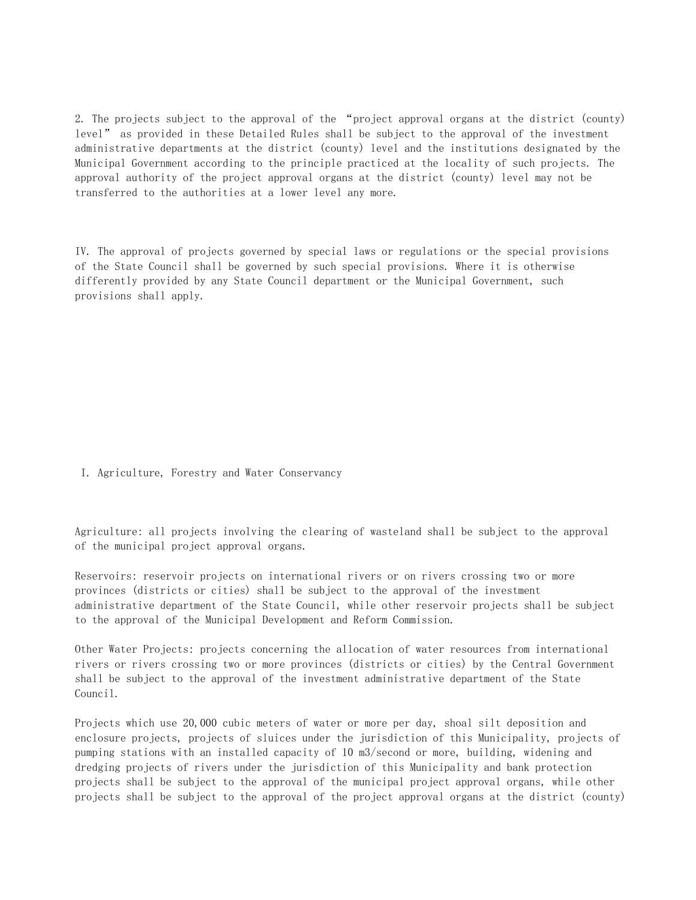2. The projects subject to the approval of the "project approval organs at the district (county) level" as provided in these Detailed Rules shall be subject to the approval of the investment administrative departments at the district (county) level and the institutions designated by the Municipal Government according to the principle practiced at the locality of such projects. The approval authority of the project approval organs at the district (county) level may not be transferred to the authorities at a lower level any more.

IV. The approval of projects governed by special laws or regulations or the special provisions of the State Council shall be governed by such special provisions. Where it is otherwise differently provided by any State Council department or the Municipal Government, such provisions shall apply.

I. Agriculture, Forestry and Water Conservancy

Agriculture: all projects involving the clearing of wasteland shall be subject to the approval of the municipal project approval organs.

Reservoirs: reservoir projects on international rivers or on rivers crossing two or more provinces (districts or cities) shall be subject to the approval of the investment administrative department of the State Council, while other reservoir projects shall be subject to the approval of the Municipal Development and Reform Commission.

Other Water Projects: projects concerning the allocation of water resources from international rivers or rivers crossing two or more provinces (districts or cities) by the Central Government shall be subject to the approval of the investment administrative department of the State Council.

Projects which use 20,000 cubic meters of water or more per day, shoal silt deposition and enclosure projects, projects of sluices under the jurisdiction of this Municipality, projects of pumping stations with an installed capacity of 10 m3/second or more, building, widening and dredging projects of rivers under the jurisdiction of this Municipality and bank protection projects shall be subject to the approval of the municipal project approval organs, while other projects shall be subject to the approval of the project approval organs at the district (county)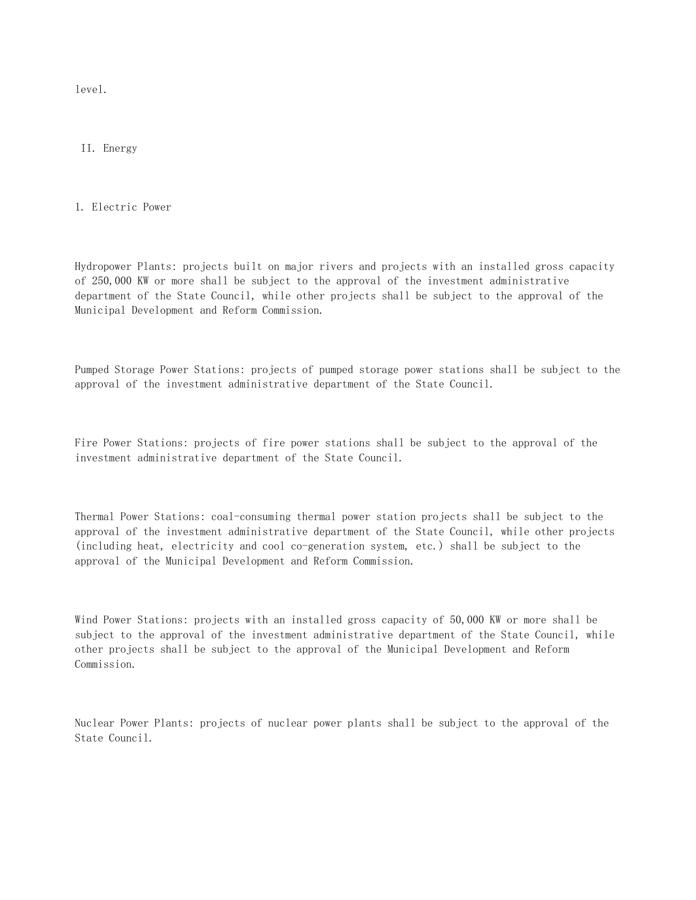level.

II. Energy

1. Electric Power

Hydropower Plants: projects built on major rivers and projects with an installed gross capacity of 250,000 KW or more shall be subject to the approval of the investment administrative department of the State Council, while other projects shall be subject to the approval of the Municipal Development and Reform Commission.

Pumped Storage Power Stations: projects of pumped storage power stations shall be subject to the approval of the investment administrative department of the State Council.

Fire Power Stations: projects of fire power stations shall be subject to the approval of the investment administrative department of the State Council.

Thermal Power Stations: coal-consuming thermal power station projects shall be subject to the approval of the investment administrative department of the State Council, while other projects (including heat, electricity and cool co-generation system, etc.) shall be subject to the approval of the Municipal Development and Reform Commission.

Wind Power Stations: projects with an installed gross capacity of 50,000 KW or more shall be subject to the approval of the investment administrative department of the State Council, while other projects shall be subject to the approval of the Municipal Development and Reform Commission.

Nuclear Power Plants: projects of nuclear power plants shall be subject to the approval of the State Council.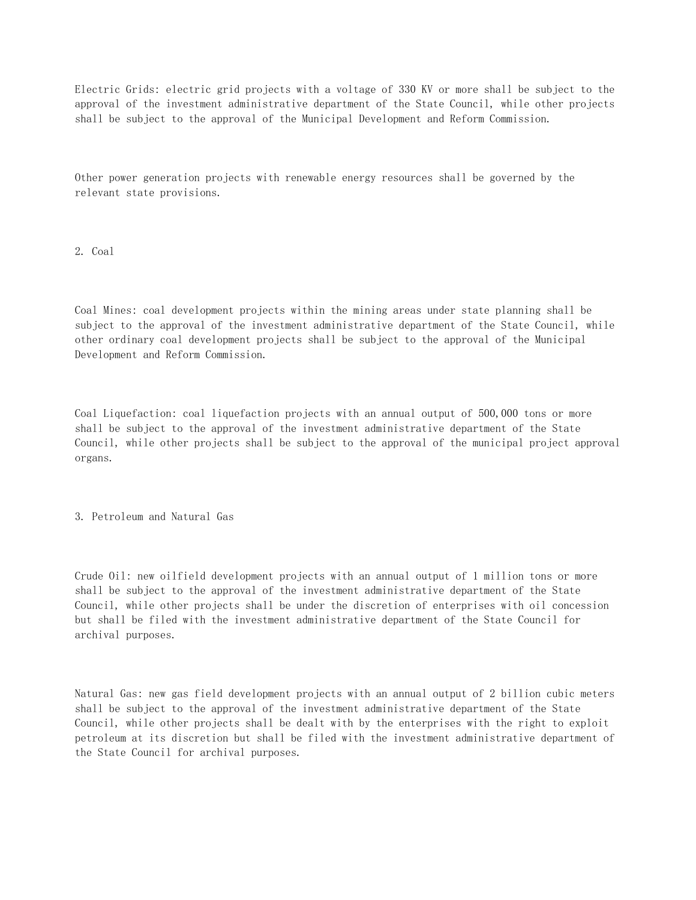Electric Grids: electric grid projects with a voltage of 330 KV or more shall be subject to the approval of the investment administrative department of the State Council, while other projects shall be subject to the approval of the Municipal Development and Reform Commission.

Other power generation projects with renewable energy resources shall be governed by the relevant state provisions.

2. Coal

Coal Mines: coal development projects within the mining areas under state planning shall be subject to the approval of the investment administrative department of the State Council, while other ordinary coal development projects shall be subject to the approval of the Municipal Development and Reform Commission.

Coal Liquefaction: coal liquefaction projects with an annual output of 500,000 tons or more shall be subject to the approval of the investment administrative department of the State Council, while other projects shall be subject to the approval of the municipal project approval organs.

3. Petroleum and Natural Gas

Crude Oil: new oilfield development projects with an annual output of 1 million tons or more shall be subject to the approval of the investment administrative department of the State Council, while other projects shall be under the discretion of enterprises with oil concession but shall be filed with the investment administrative department of the State Council for archival purposes.

Natural Gas: new gas field development projects with an annual output of 2 billion cubic meters shall be subject to the approval of the investment administrative department of the State Council, while other projects shall be dealt with by the enterprises with the right to exploit petroleum at its discretion but shall be filed with the investment administrative department of the State Council for archival purposes.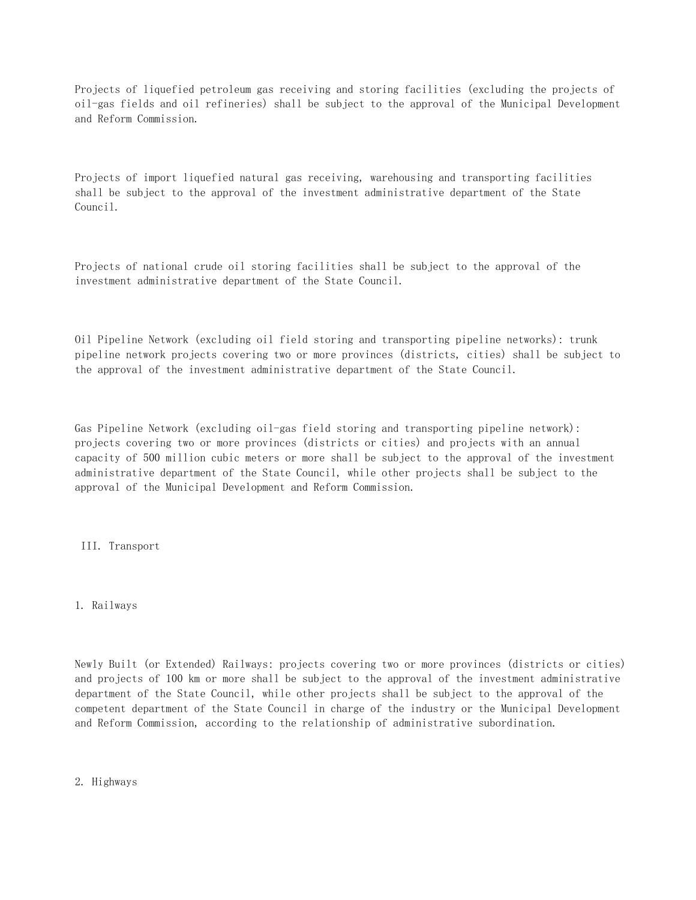Projects of liquefied petroleum gas receiving and storing facilities (excluding the projects of oil-gas fields and oil refineries) shall be subject to the approval of the Municipal Development and Reform Commission.

Projects of import liquefied natural gas receiving, warehousing and transporting facilities shall be subject to the approval of the investment administrative department of the State Council.

Projects of national crude oil storing facilities shall be subject to the approval of the investment administrative department of the State Council.

Oil Pipeline Network (excluding oil field storing and transporting pipeline networks): trunk pipeline network projects covering two or more provinces (districts, cities) shall be subject to the approval of the investment administrative department of the State Council.

Gas Pipeline Network (excluding oil-gas field storing and transporting pipeline network): projects covering two or more provinces (districts or cities) and projects with an annual capacity of 500 million cubic meters or more shall be subject to the approval of the investment administrative department of the State Council, while other projects shall be subject to the approval of the Municipal Development and Reform Commission.

III. Transport

## 1. Railways

Newly Built (or Extended) Railways: projects covering two or more provinces (districts or cities) and projects of 100 km or more shall be subject to the approval of the investment administrative department of the State Council, while other projects shall be subject to the approval of the competent department of the State Council in charge of the industry or the Municipal Development and Reform Commission, according to the relationship of administrative subordination.

2. Highways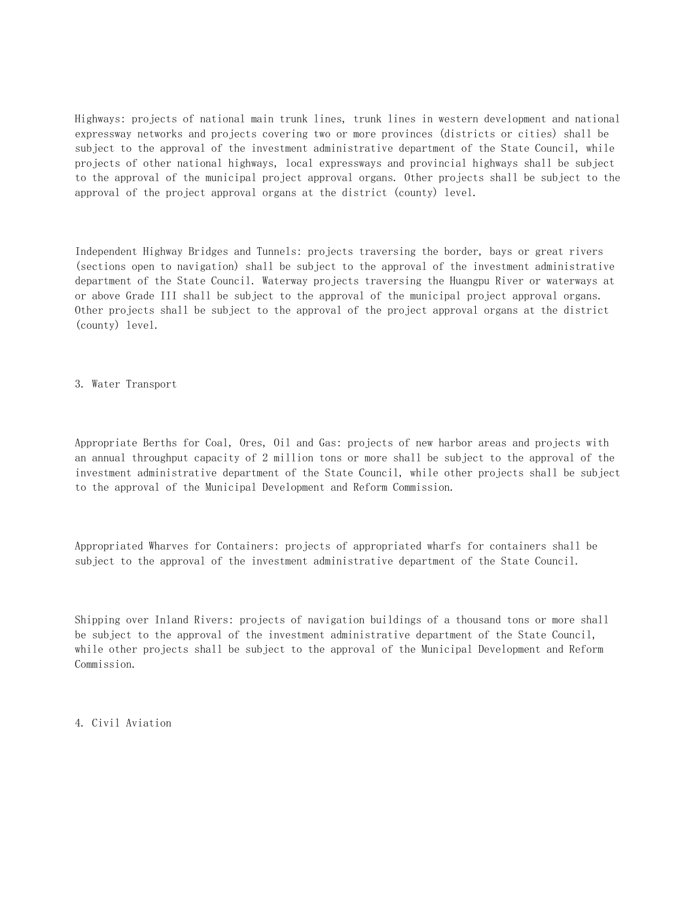Highways: projects of national main trunk lines, trunk lines in western development and national expressway networks and projects covering two or more provinces (districts or cities) shall be subject to the approval of the investment administrative department of the State Council, while projects of other national highways, local expressways and provincial highways shall be subject to the approval of the municipal project approval organs. Other projects shall be subject to the approval of the project approval organs at the district (county) level.

Independent Highway Bridges and Tunnels: projects traversing the border, bays or great rivers (sections open to navigation) shall be subject to the approval of the investment administrative department of the State Council. Waterway projects traversing the Huangpu River or waterways at or above Grade III shall be subject to the approval of the municipal project approval organs. Other projects shall be subject to the approval of the project approval organs at the district (county) level.

3. Water Transport

Appropriate Berths for Coal, Ores, Oil and Gas: projects of new harbor areas and projects with an annual throughput capacity of 2 million tons or more shall be subject to the approval of the investment administrative department of the State Council, while other projects shall be subject to the approval of the Municipal Development and Reform Commission.

Appropriated Wharves for Containers: projects of appropriated wharfs for containers shall be subject to the approval of the investment administrative department of the State Council.

Shipping over Inland Rivers: projects of navigation buildings of a thousand tons or more shall be subject to the approval of the investment administrative department of the State Council, while other projects shall be subject to the approval of the Municipal Development and Reform Commission.

4. Civil Aviation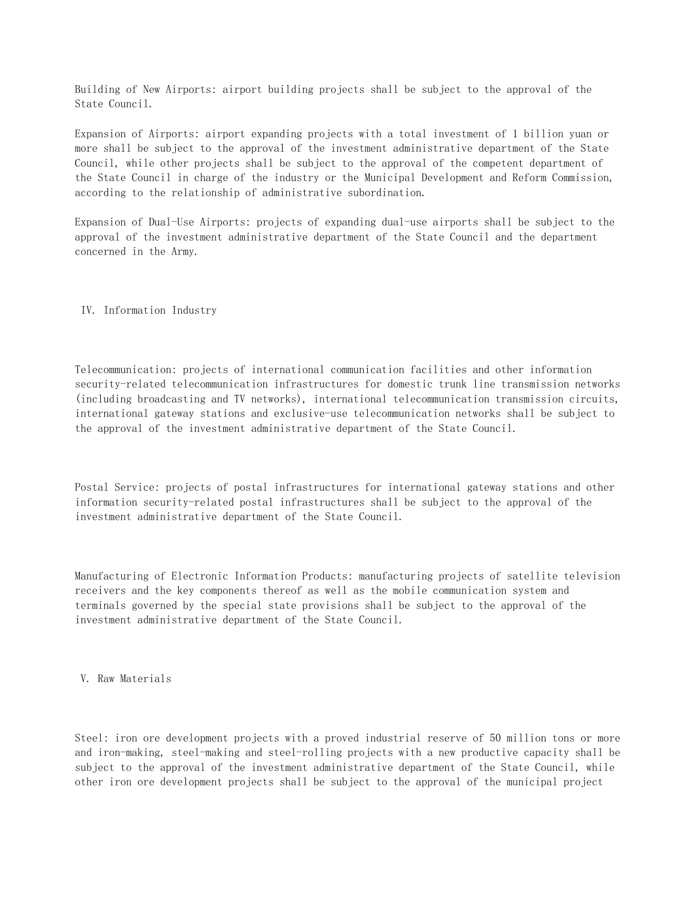Building of New Airports: airport building projects shall be subject to the approval of the State Council.

Expansion of Airports: airport expanding projects with a total investment of 1 billion yuan or more shall be subject to the approval of the investment administrative department of the State Council, while other projects shall be subject to the approval of the competent department of the State Council in charge of the industry or the Municipal Development and Reform Commission, according to the relationship of administrative subordination.

Expansion of Dual-Use Airports: projects of expanding dual-use airports shall be subject to the approval of the investment administrative department of the State Council and the department concerned in the Army.

## IV. Information Industry

Telecommunication: projects of international communication facilities and other information security-related telecommunication infrastructures for domestic trunk line transmission networks (including broadcasting and TV networks), international telecommunication transmission circuits, international gateway stations and exclusive-use telecommunication networks shall be subject to the approval of the investment administrative department of the State Council.

Postal Service: projects of postal infrastructures for international gateway stations and other information security-related postal infrastructures shall be subject to the approval of the investment administrative department of the State Council.

Manufacturing of Electronic Information Products: manufacturing projects of satellite television receivers and the key components thereof as well as the mobile communication system and terminals governed by the special state provisions shall be subject to the approval of the investment administrative department of the State Council.

V. Raw Materials

Steel: iron ore development projects with a proved industrial reserve of 50 million tons or more and iron-making, steel-making and steel-rolling projects with a new productive capacity shall be subject to the approval of the investment administrative department of the State Council, while other iron ore development projects shall be subject to the approval of the municipal project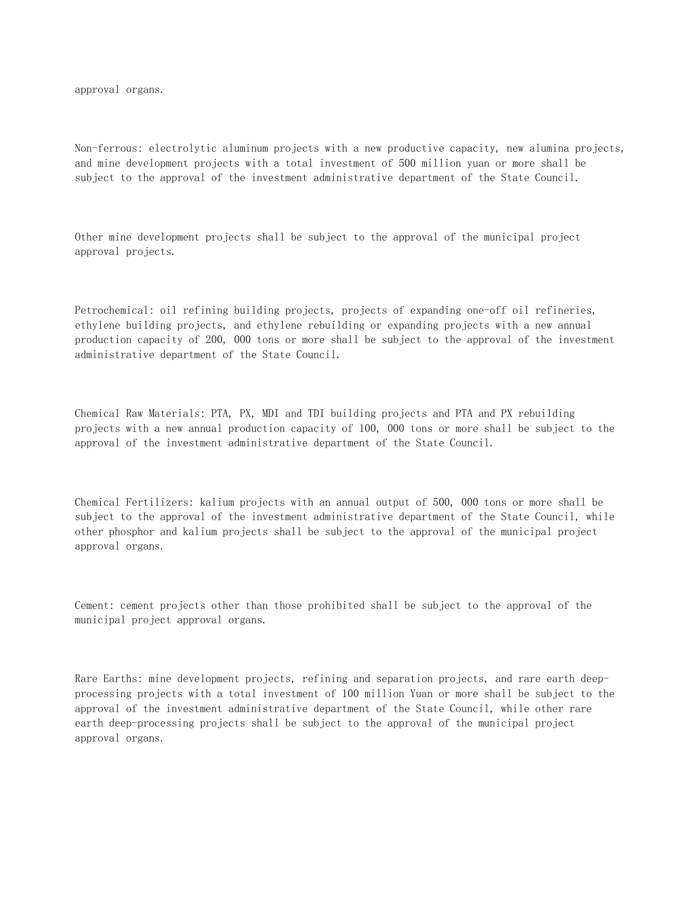approval organs.

Non-ferrous: electrolytic aluminum projects with a new productive capacity, new alumina projects, and mine development projects with a total investment of 500 million yuan or more shall be subject to the approval of the investment administrative department of the State Council.

Other mine development projects shall be subject to the approval of the municipal project approval projects.

Petrochemical: oil refining building projects, projects of expanding one-off oil refineries, ethylene building projects, and ethylene rebuilding or expanding projects with a new annual production capacity of 200, 000 tons or more shall be subject to the approval of the investment administrative department of the State Council.

Chemical Raw Materials: PTA, PX, MDI and TDI building projects and PTA and PX rebuilding projects with a new annual production capacity of 100, 000 tons or more shall be subject to the approval of the investment administrative department of the State Council.

Chemical Fertilizers: kalium projects with an annual output of 500, 000 tons or more shall be subject to the approval of the investment administrative department of the State Council, while other phosphor and kalium projects shall be subject to the approval of the municipal project approval organs.

Cement: cement projects other than those prohibited shall be subject to the approval of the municipal project approval organs.

Rare Earths: mine development projects, refining and separation projects, and rare earth deepprocessing projects with a total investment of 100 million Yuan or more shall be subject to the approval of the investment administrative department of the State Council, while other rare earth deep-processing projects shall be subject to the approval of the municipal project approval organs.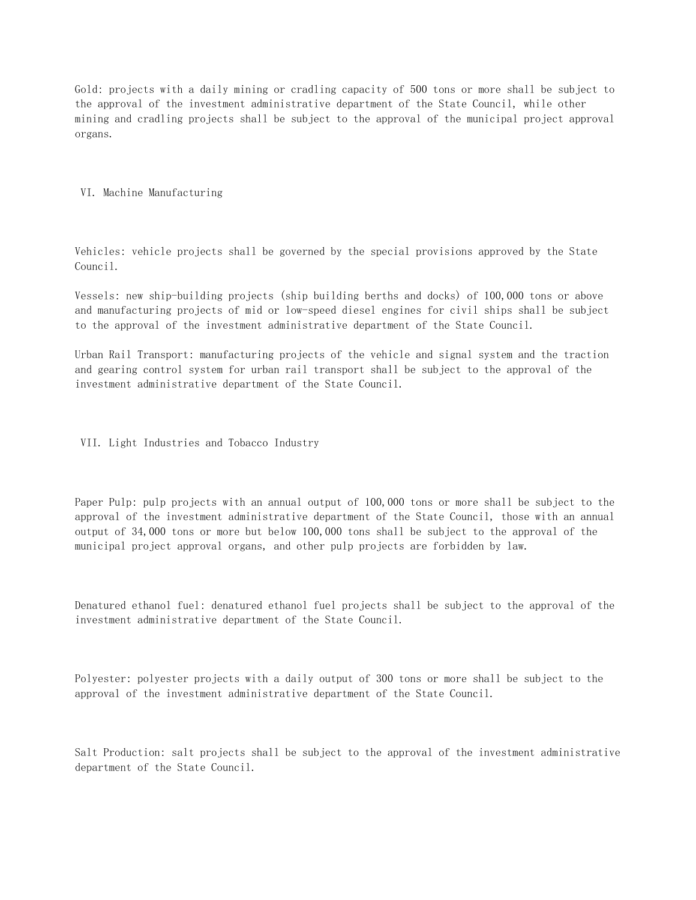Gold: projects with a daily mining or cradling capacity of 500 tons or more shall be subject to the approval of the investment administrative department of the State Council, while other mining and cradling projects shall be subject to the approval of the municipal project approval organs.

VI. Machine Manufacturing

Vehicles: vehicle projects shall be governed by the special provisions approved by the State Council.

Vessels: new ship-building projects (ship building berths and docks) of 100,000 tons or above and manufacturing projects of mid or low-speed diesel engines for civil ships shall be subject to the approval of the investment administrative department of the State Council.

Urban Rail Transport: manufacturing projects of the vehicle and signal system and the traction and gearing control system for urban rail transport shall be subject to the approval of the investment administrative department of the State Council.

VII. Light Industries and Tobacco Industry

Paper Pulp: pulp projects with an annual output of 100,000 tons or more shall be subject to the approval of the investment administrative department of the State Council, those with an annual output of 34,000 tons or more but below 100,000 tons shall be subject to the approval of the municipal project approval organs, and other pulp projects are forbidden by law.

Denatured ethanol fuel: denatured ethanol fuel projects shall be subject to the approval of the investment administrative department of the State Council.

Polyester: polyester projects with a daily output of 300 tons or more shall be subject to the approval of the investment administrative department of the State Council.

Salt Production: salt projects shall be subject to the approval of the investment administrative department of the State Council.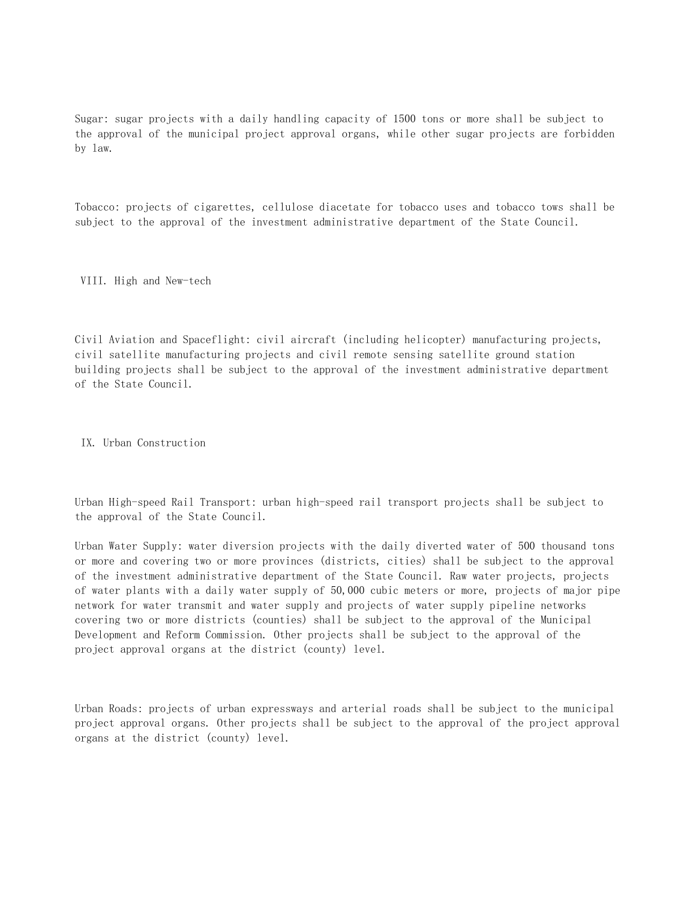Sugar: sugar projects with a daily handling capacity of 1500 tons or more shall be subject to the approval of the municipal project approval organs, while other sugar projects are forbidden by law.

Tobacco: projects of cigarettes, cellulose diacetate for tobacco uses and tobacco tows shall be subject to the approval of the investment administrative department of the State Council.

VIII. High and New-tech

Civil Aviation and Spaceflight: civil aircraft (including helicopter) manufacturing projects, civil satellite manufacturing projects and civil remote sensing satellite ground station building projects shall be subject to the approval of the investment administrative department of the State Council.

IX. Urban Construction

Urban High-speed Rail Transport: urban high-speed rail transport projects shall be subject to the approval of the State Council.

Urban Water Supply: water diversion projects with the daily diverted water of 500 thousand tons or more and covering two or more provinces (districts, cities) shall be subject to the approval of the investment administrative department of the State Council. Raw water projects, projects of water plants with a daily water supply of 50,000 cubic meters or more, projects of major pipe network for water transmit and water supply and projects of water supply pipeline networks covering two or more districts (counties) shall be subject to the approval of the Municipal Development and Reform Commission. Other projects shall be subject to the approval of the project approval organs at the district (county) level.

Urban Roads: projects of urban expressways and arterial roads shall be subject to the municipal project approval organs. Other projects shall be subject to the approval of the project approval organs at the district (county) level.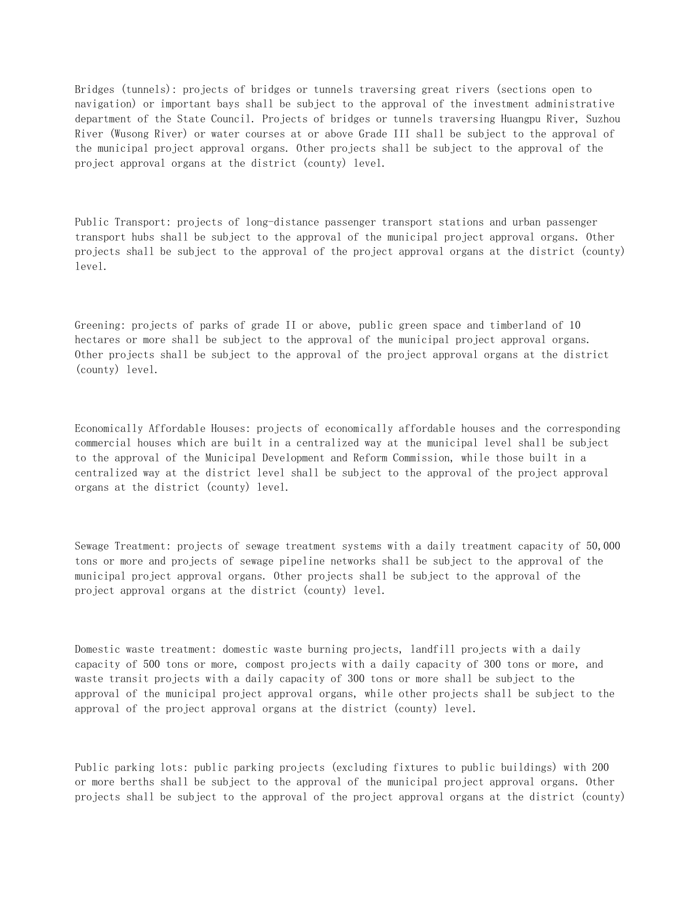Bridges (tunnels): projects of bridges or tunnels traversing great rivers (sections open to navigation) or important bays shall be subject to the approval of the investment administrative department of the State Council. Projects of bridges or tunnels traversing Huangpu River, Suzhou River (Wusong River) or water courses at or above Grade III shall be subject to the approval of the municipal project approval organs. Other projects shall be subject to the approval of the project approval organs at the district (county) level.

Public Transport: projects of long-distance passenger transport stations and urban passenger transport hubs shall be subject to the approval of the municipal project approval organs. Other projects shall be subject to the approval of the project approval organs at the district (county) level.

Greening: projects of parks of grade II or above, public green space and timberland of 10 hectares or more shall be subject to the approval of the municipal project approval organs. Other projects shall be subject to the approval of the project approval organs at the district (county) level.

Economically Affordable Houses: projects of economically affordable houses and the corresponding commercial houses which are built in a centralized way at the municipal level shall be subject to the approval of the Municipal Development and Reform Commission, while those built in a centralized way at the district level shall be subject to the approval of the project approval organs at the district (county) level.

Sewage Treatment: projects of sewage treatment systems with a daily treatment capacity of 50,000 tons or more and projects of sewage pipeline networks shall be subject to the approval of the municipal project approval organs. Other projects shall be subject to the approval of the project approval organs at the district (county) level.

Domestic waste treatment: domestic waste burning projects, landfill projects with a daily capacity of 500 tons or more, compost projects with a daily capacity of 300 tons or more, and waste transit projects with a daily capacity of 300 tons or more shall be subject to the approval of the municipal project approval organs, while other projects shall be subject to the approval of the project approval organs at the district (county) level.

Public parking lots: public parking projects (excluding fixtures to public buildings) with 200 or more berths shall be subject to the approval of the municipal project approval organs. Other projects shall be subject to the approval of the project approval organs at the district (county)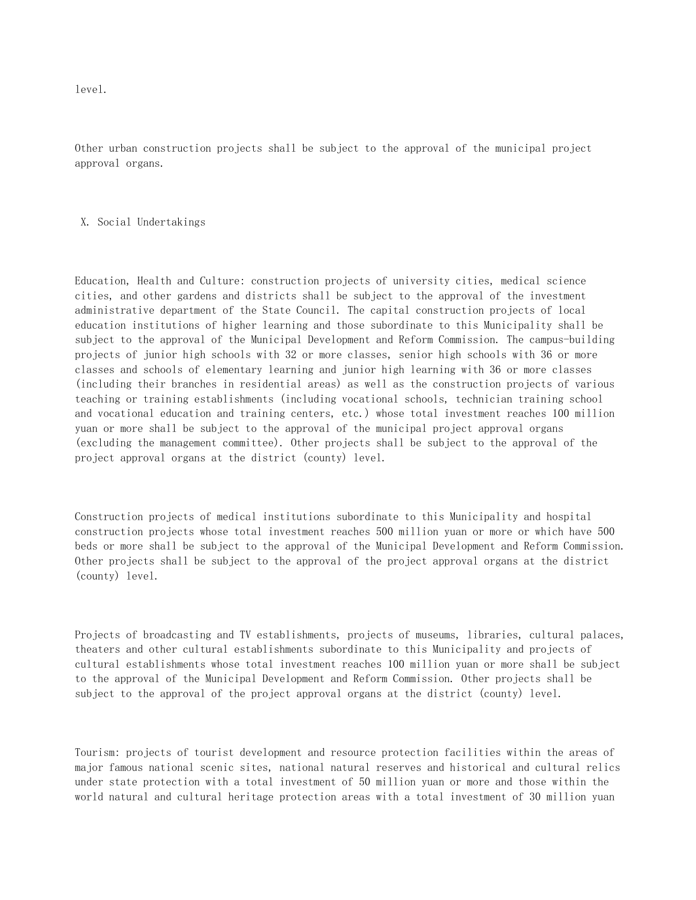level.

Other urban construction projects shall be subject to the approval of the municipal project approval organs.

X. Social Undertakings

Education, Health and Culture: construction projects of university cities, medical science cities, and other gardens and districts shall be subject to the approval of the investment administrative department of the State Council. The capital construction projects of local education institutions of higher learning and those subordinate to this Municipality shall be subject to the approval of the Municipal Development and Reform Commission. The campus-building projects of junior high schools with 32 or more classes, senior high schools with 36 or more classes and schools of elementary learning and junior high learning with 36 or more classes (including their branches in residential areas) as well as the construction projects of various teaching or training establishments (including vocational schools, technician training school and vocational education and training centers, etc.) whose total investment reaches 100 million yuan or more shall be subject to the approval of the municipal project approval organs (excluding the management committee). Other projects shall be subject to the approval of the project approval organs at the district (county) level.

Construction projects of medical institutions subordinate to this Municipality and hospital construction projects whose total investment reaches 500 million yuan or more or which have 500 beds or more shall be subject to the approval of the Municipal Development and Reform Commission. Other projects shall be subject to the approval of the project approval organs at the district (county) level.

Projects of broadcasting and TV establishments, projects of museums, libraries, cultural palaces, theaters and other cultural establishments subordinate to this Municipality and projects of cultural establishments whose total investment reaches 100 million yuan or more shall be subject to the approval of the Municipal Development and Reform Commission. Other projects shall be subject to the approval of the project approval organs at the district (county) level.

Tourism: projects of tourist development and resource protection facilities within the areas of major famous national scenic sites, national natural reserves and historical and cultural relics under state protection with a total investment of 50 million yuan or more and those within the world natural and cultural heritage protection areas with a total investment of 30 million yuan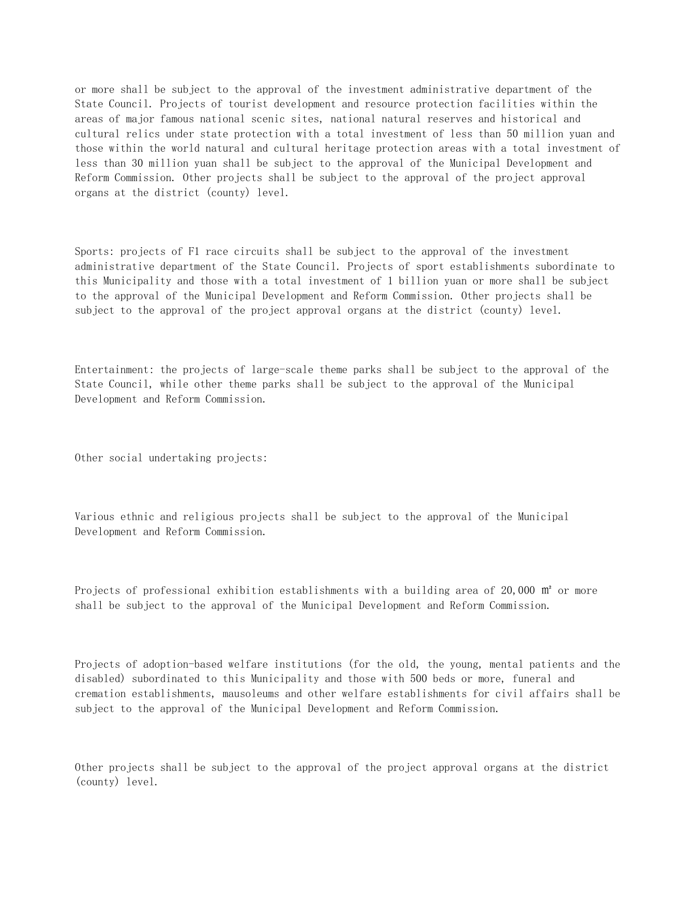or more shall be subject to the approval of the investment administrative department of the State Council. Projects of tourist development and resource protection facilities within the areas of major famous national scenic sites, national natural reserves and historical and cultural relics under state protection with a total investment of less than 50 million yuan and those within the world natural and cultural heritage protection areas with a total investment of less than 30 million yuan shall be subject to the approval of the Municipal Development and Reform Commission. Other projects shall be subject to the approval of the project approval organs at the district (county) level.

Sports: projects of F1 race circuits shall be subject to the approval of the investment administrative department of the State Council. Projects of sport establishments subordinate to this Municipality and those with a total investment of 1 billion yuan or more shall be subject to the approval of the Municipal Development and Reform Commission. Other projects shall be subject to the approval of the project approval organs at the district (county) level.

Entertainment: the projects of large-scale theme parks shall be subject to the approval of the State Council, while other theme parks shall be subject to the approval of the Municipal Development and Reform Commission.

Other social undertaking projects:

Various ethnic and religious projects shall be subject to the approval of the Municipal Development and Reform Commission.

Projects of professional exhibition establishments with a building area of 20,000 m<sup>2</sup> or more shall be subject to the approval of the Municipal Development and Reform Commission.

Projects of adoption-based welfare institutions (for the old, the young, mental patients and the disabled) subordinated to this Municipality and those with 500 beds or more, funeral and cremation establishments, mausoleums and other welfare establishments for civil affairs shall be subject to the approval of the Municipal Development and Reform Commission.

Other projects shall be subject to the approval of the project approval organs at the district (county) level.